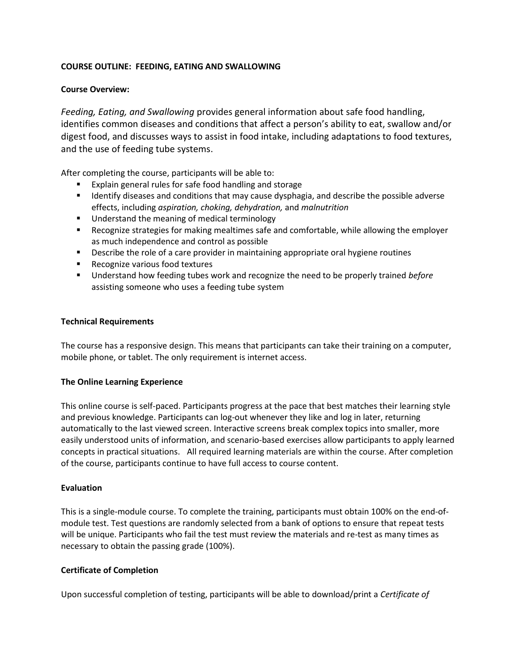# **COURSE OUTLINE: FEEDING, EATING AND SWALLOWING**

## **Course Overview:**

*Feeding, Eating, and Swallowing* provides general information about safe food handling, identifies common diseases and conditions that affect a person's ability to eat, swallow and/or digest food, and discusses ways to assist in food intake, including adaptations to food textures, and the use of feeding tube systems.

After completing the course, participants will be able to:

- **Explain general rules for safe food handling and storage**
- **If all identify diseases and conditions that may cause dysphagia, and describe the possible adverse** effects, including *aspiration, choking, dehydration,* and *malnutrition*
- **Understand the meaning of medical terminology**
- Recognize strategies for making mealtimes safe and comfortable, while allowing the employer as much independence and control as possible
- **•** Describe the role of a care provider in maintaining appropriate oral hygiene routines
- **Recognize various food textures**
- Understand how feeding tubes work and recognize the need to be properly trained *before* assisting someone who uses a feeding tube system

## **Technical Requirements**

The course has a responsive design. This means that participants can take their training on a computer, mobile phone, or tablet. The only requirement is internet access.

## **The Online Learning Experience**

This online course is self-paced. Participants progress at the pace that best matches their learning style and previous knowledge. Participants can log-out whenever they like and log in later, returning automatically to the last viewed screen. Interactive screens break complex topics into smaller, more easily understood units of information, and scenario-based exercises allow participants to apply learned concepts in practical situations. All required learning materials are within the course. After completion of the course, participants continue to have full access to course content.

## **Evaluation**

This is a single-module course. To complete the training, participants must obtain 100% on the end-ofmodule test. Test questions are randomly selected from a bank of options to ensure that repeat tests will be unique. Participants who fail the test must review the materials and re-test as many times as necessary to obtain the passing grade (100%).

## **Certificate of Completion**

Upon successful completion of testing, participants will be able to download/print a *Certificate of*